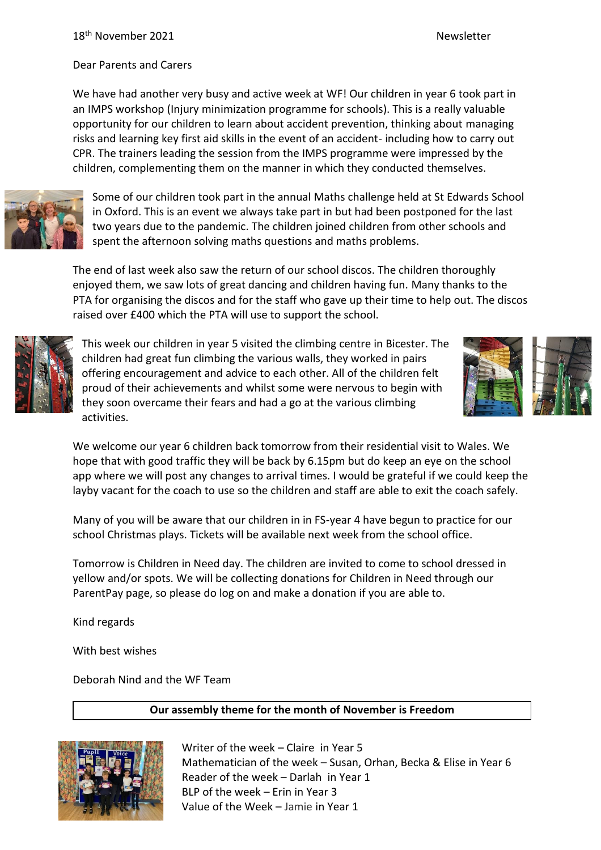Dear Parents and Carers

We have had another very busy and active week at WF! Our children in year 6 took part in an IMPS workshop (Injury minimization programme for schools). This is a really valuable opportunity for our children to learn about accident prevention, thinking about managing risks and learning key first aid skills in the event of an accident- including how to carry out CPR. The trainers leading the session from the IMPS programme were impressed by the children, complementing them on the manner in which they conducted themselves.



Some of our children took part in the annual Maths challenge held at St Edwards School in Oxford. This is an event we always take part in but had been postponed for the last two years due to the pandemic. The children joined children from other schools and spent the afternoon solving maths questions and maths problems.

The end of last week also saw the return of our school discos. The children thoroughly enjoyed them, we saw lots of great dancing and children having fun. Many thanks to the PTA for organising the discos and for the staff who gave up their time to help out. The discos raised over £400 which the PTA will use to support the school.



This week our children in year 5 visited the climbing centre in Bicester. The children had great fun climbing the various walls, they worked in pairs offering encouragement and advice to each other. All of the children felt proud of their achievements and whilst some were nervous to begin with they soon overcame their fears and had a go at the various climbing activities.



We welcome our year 6 children back tomorrow from their residential visit to Wales. We hope that with good traffic they will be back by 6.15pm but do keep an eye on the school app where we will post any changes to arrival times. I would be grateful if we could keep the layby vacant for the coach to use so the children and staff are able to exit the coach safely.

Many of you will be aware that our children in in FS-year 4 have begun to practice for our school Christmas plays. Tickets will be available next week from the school office.

Tomorrow is Children in Need day. The children are invited to come to school dressed in yellow and/or spots. We will be collecting donations for Children in Need through our ParentPay page, so please do log on and make a donation if you are able to.

Kind regards

With best wishes

Deborah Nind and the WF Team

# **Our assembly theme for the month of November is Freedom**



Writer of the week – Claire in Year 5 Mathematician of the week – Susan, Orhan, Becka & Elise in Year 6 Reader of the week – Darlah in Year 1 BLP of the week – Erin in Year 3 Value of the Week – Jamie in Year 1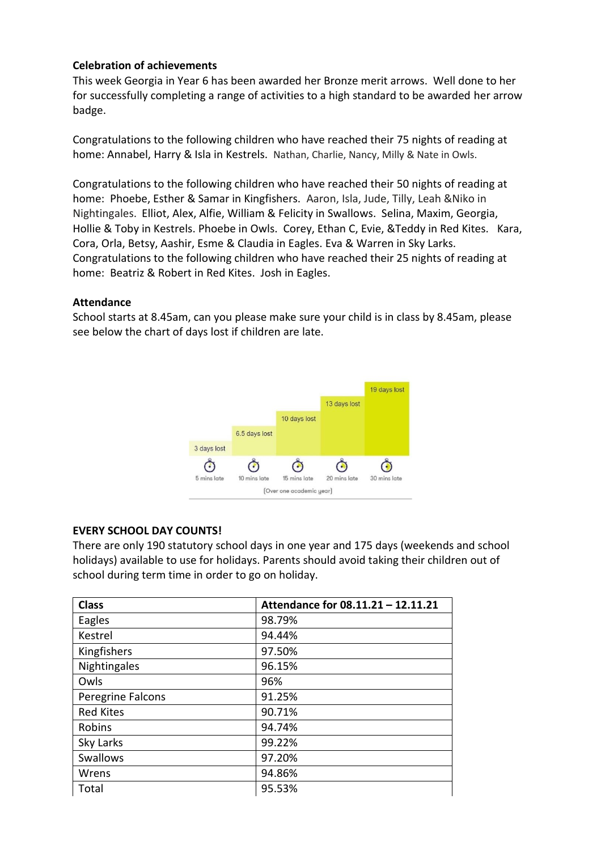# **Celebration of achievements**

This week Georgia in Year 6 has been awarded her Bronze merit arrows. Well done to her for successfully completing a range of activities to a high standard to be awarded her arrow badge.

Congratulations to the following children who have reached their 75 nights of reading at home: Annabel, Harry & Isla in Kestrels. Nathan, Charlie, Nancy, Milly & Nate in Owls.

Congratulations to the following children who have reached their 50 nights of reading at home: Phoebe, Esther & Samar in Kingfishers. Aaron, Isla, Jude, Tilly, Leah &Niko in Nightingales. Elliot, Alex, Alfie, William & Felicity in Swallows. Selina, Maxim, Georgia, Hollie & Toby in Kestrels. Phoebe in Owls. Corey, Ethan C, Evie, &Teddy in Red Kites. Kara, Cora, Orla, Betsy, Aashir, Esme & Claudia in Eagles. Eva & Warren in Sky Larks. Congratulations to the following children who have reached their 25 nights of reading at home: Beatriz & Robert in Red Kites. Josh in Eagles.

#### **Attendance**

School starts at 8.45am, can you please make sure your child is in class by 8.45am, please see below the chart of days lost if children are late.



### **EVERY SCHOOL DAY COUNTS!**

There are only 190 statutory school days in one year and 175 days (weekends and school holidays) available to use for holidays. Parents should avoid taking their children out of school during term time in order to go on holiday.

| <b>Class</b>      | Attendance for 08.11.21 - 12.11.21 |
|-------------------|------------------------------------|
| Eagles            | 98.79%                             |
| Kestrel           | 94.44%                             |
| Kingfishers       | 97.50%                             |
| Nightingales      | 96.15%                             |
| Owls              | 96%                                |
| Peregrine Falcons | 91.25%                             |
| <b>Red Kites</b>  | 90.71%                             |
| Robins            | 94.74%                             |
| Sky Larks         | 99.22%                             |
| <b>Swallows</b>   | 97.20%                             |
| Wrens             | 94.86%                             |
| Total             | 95.53%                             |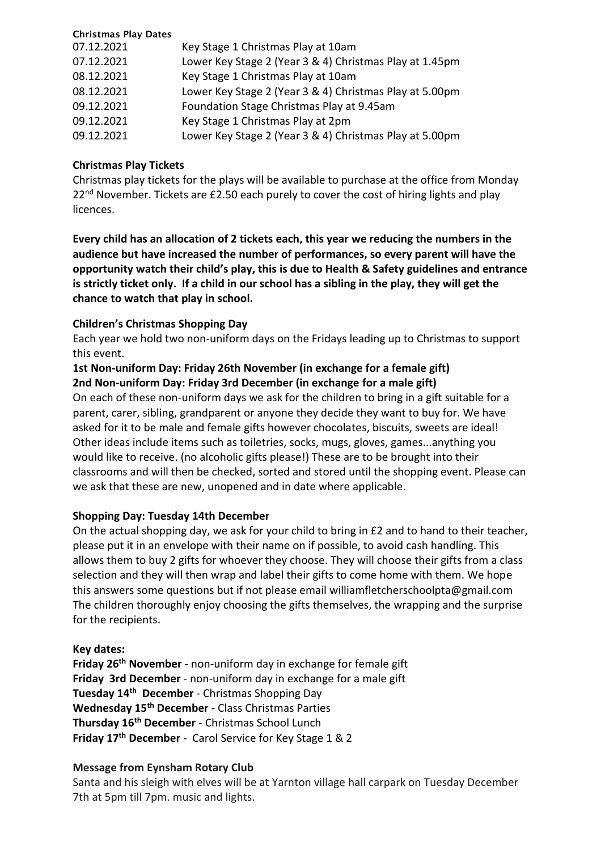### Christmas Play Dates

| 07.12.2021 | Key Stage 1 Christmas Play at 10am                      |
|------------|---------------------------------------------------------|
| 07.12.2021 | Lower Key Stage 2 (Year 3 & 4) Christmas Play at 1.45pm |
| 08.12.2021 | Key Stage 1 Christmas Play at 10am                      |
| 08.12.2021 | Lower Key Stage 2 (Year 3 & 4) Christmas Play at 5.00pm |
| 09.12.2021 | Foundation Stage Christmas Play at 9.45am               |
| 09.12.2021 | Key Stage 1 Christmas Play at 2pm                       |
| 09.12.2021 | Lower Key Stage 2 (Year 3 & 4) Christmas Play at 5.00pm |

## **Christmas Play Tickets**

Christmas play tickets for the plays will be available to purchase at the office from Monday  $22<sup>nd</sup>$  November. Tickets are £2.50 each purely to cover the cost of hiring lights and play licences.

**Every child has an allocation of 2 tickets each, this year we reducing the numbers in the audience but have increased the number of performances, so every parent will have the opportunity watch their child's play, this is due to Health & Safety guidelines and entrance is strictly ticket only. If a child in our school has a sibling in the play, they will get the chance to watch that play in school.**

## **Children's Christmas Shopping Day**

Each year we hold two non-uniform days on the Fridays leading up to Christmas to support this event.

## **1st Non-uniform Day: Friday 26th November (in exchange for a female gift) 2nd Non-uniform Day: Friday 3rd December (in exchange for a male gift)**

On each of these non-uniform days we ask for the children to bring in a gift suitable for a parent, carer, sibling, grandparent or anyone they decide they want to buy for. We have asked for it to be male and female gifts however chocolates, biscuits, sweets are ideal! Other ideas include items such as toiletries, socks, mugs, gloves, games...anything you would like to receive. (no alcoholic gifts please!) These are to be brought into their classrooms and will then be checked, sorted and stored until the shopping event. Please can we ask that these are new, unopened and in date where applicable.

# **Shopping Day: Tuesday 14th December**

On the actual shopping day, we ask for your child to bring in £2 and to hand to their teacher, please put it in an envelope with their name on if possible, to avoid cash handling. This allows them to buy 2 gifts for whoever they choose. They will choose their gifts from a class selection and they will then wrap and label their gifts to come home with them. We hope this answers some questions but if not please email williamfletcherschoolpta@gmail.com The children thoroughly enjoy choosing the gifts themselves, the wrapping and the surprise for the recipients.

### **Key dates:**

**Friday 26th November** - non-uniform day in exchange for female gift **Friday 3rd December** - non-uniform day in exchange for a male gift **Tuesday 14th December** - Christmas Shopping Day **Wednesday 15th December** - Class Christmas Parties **Thursday 16th December** - Christmas School Lunch **Friday 17th December** - Carol Service for Key Stage 1 & 2

# **Message from Eynsham Rotary Club**

Santa and his sleigh with elves will be at Yarnton village hall carpark on Tuesday December 7th at 5pm till 7pm. music and lights.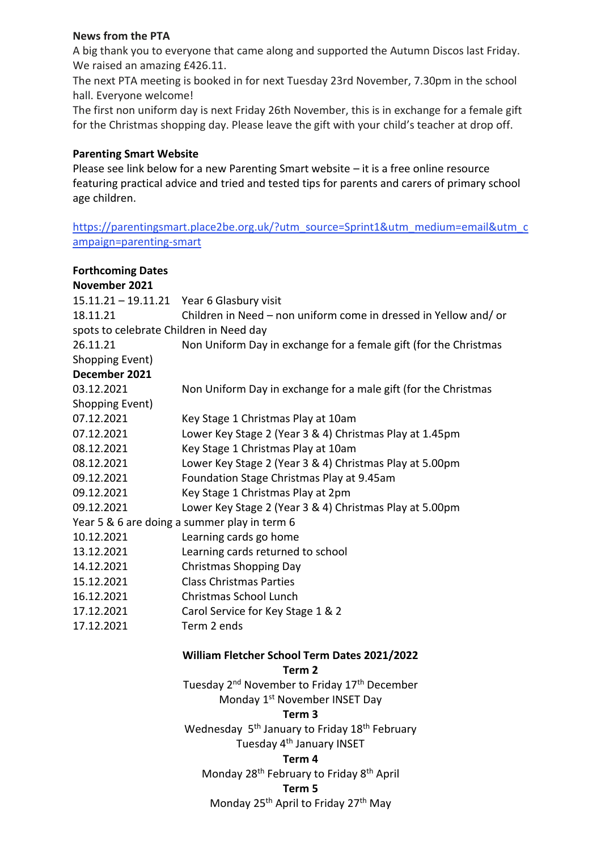### **News from the PTA**

A big thank you to everyone that came along and supported the Autumn Discos last Friday. We raised an amazing £426.11.

The next PTA meeting is booked in for next Tuesday 23rd November, 7.30pm in the school hall. Everyone welcome!

The first non uniform day is next Friday 26th November, this is in exchange for a female gift for the Christmas shopping day. Please leave the gift with your child's teacher at drop off.

## **Parenting Smart Website**

Please see link below for a new Parenting Smart website – it is a free online resource featuring practical advice and tried and tested tips for parents and carers of primary school age children.

https://parentingsmart.place2be.org.uk/?utm\_source=Sprint1&utm\_medium=email&utm\_c ampaign=parenting-smart

| <b>Forthcoming Dates</b>                     |                                                                       |
|----------------------------------------------|-----------------------------------------------------------------------|
| November 2021                                |                                                                       |
| $15.11.21 - 19.11.21$                        | Year 6 Glasbury visit                                                 |
| 18.11.21                                     | Children in Need - non uniform come in dressed in Yellow and/ or      |
| spots to celebrate Children in Need day      |                                                                       |
| 26.11.21                                     | Non Uniform Day in exchange for a female gift (for the Christmas      |
| Shopping Event)                              |                                                                       |
| December 2021                                |                                                                       |
| 03.12.2021                                   | Non Uniform Day in exchange for a male gift (for the Christmas        |
| Shopping Event)                              |                                                                       |
| 07.12.2021                                   | Key Stage 1 Christmas Play at 10am                                    |
| 07.12.2021                                   | Lower Key Stage 2 (Year 3 & 4) Christmas Play at 1.45pm               |
| 08.12.2021                                   | Key Stage 1 Christmas Play at 10am                                    |
| 08.12.2021                                   | Lower Key Stage 2 (Year 3 & 4) Christmas Play at 5.00pm               |
| 09.12.2021                                   | Foundation Stage Christmas Play at 9.45am                             |
| 09.12.2021                                   | Key Stage 1 Christmas Play at 2pm                                     |
| 09.12.2021                                   | Lower Key Stage 2 (Year 3 & 4) Christmas Play at 5.00pm               |
|                                              | Year 5 & 6 are doing a summer play in term 6                          |
| 10.12.2021                                   | Learning cards go home                                                |
| 13.12.2021                                   | Learning cards returned to school                                     |
| 14.12.2021                                   | <b>Christmas Shopping Day</b>                                         |
| 15.12.2021                                   | <b>Class Christmas Parties</b>                                        |
| 16.12.2021                                   | Christmas School Lunch                                                |
| 17.12.2021                                   | Carol Service for Key Stage 1 & 2                                     |
| 17.12.2021                                   | Term 2 ends                                                           |
| William Fletcher School Term Dates 2021/2022 |                                                                       |
|                                              | Term 2                                                                |
|                                              | Tuesday 2 <sup>nd</sup> November to Friday 17 <sup>th</sup> December  |
|                                              | Monday 1 <sup>st</sup> November INSET Day                             |
|                                              | Term 3                                                                |
|                                              | Wednesday 5 <sup>th</sup> January to Friday 18 <sup>th</sup> February |
|                                              | Tuesday 4 <sup>th</sup> January INSET                                 |
|                                              | Term 4                                                                |
|                                              | Monday 28 <sup>th</sup> February to Friday 8 <sup>th</sup> April      |

#### **Term 5**

Monday 25<sup>th</sup> April to Friday 27<sup>th</sup> May